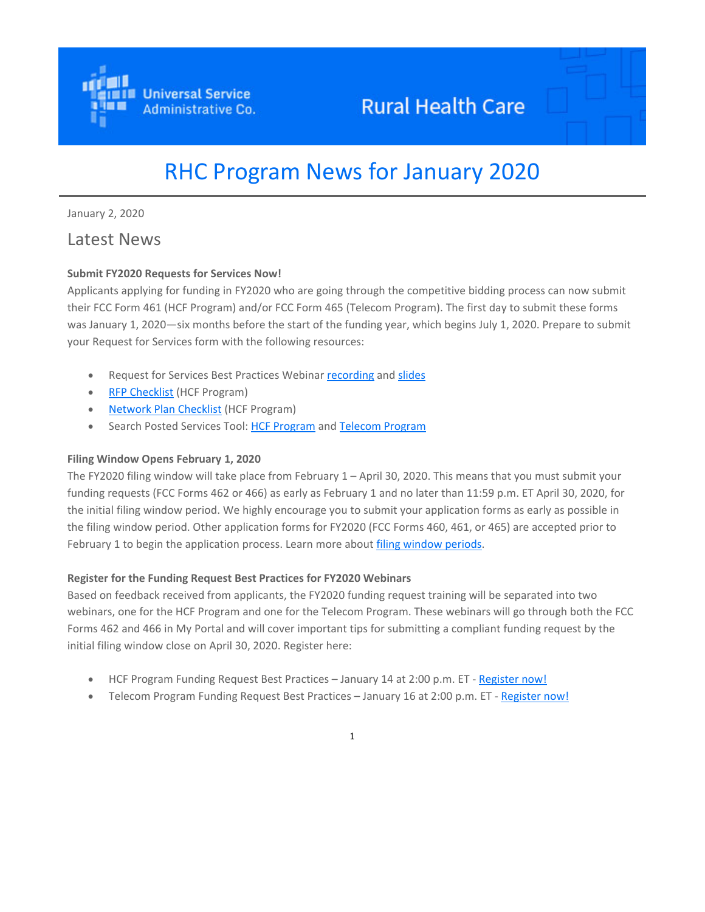

## **Rural Health Care**

# RHC Program News for January 2020

January 2, 2020

### Latest News

### **Submit FY2020 Requests for Services Now!**

Applicants applying for funding in FY2020 who are going through the competitive bidding process can now submit their FCC Form 461 (HCF Program) and/or FCC Form 465 (Telecom Program). The first day to submit these forms was January 1, 2020—six months before the start of the funding year, which begins July 1, 2020. Prepare to submit your Request for Services form with the following resources:

- Request for Services Best Practices Webinar recording and slides
- RFP Checklist (HCF Program)
- Network Plan Checklist (HCF Program)
- Search Posted Services Tool: HCF Program and Telecom Program

### **Filing Window Opens February 1, 2020**

The FY2020 filing window will take place from February 1 – April 30, 2020. This means that you must submit your funding requests (FCC Forms 462 or 466) as early as February 1 and no later than 11:59 p.m. ET April 30, 2020, for the initial filing window period. We highly encourage you to submit your application forms as early as possible in the filing window period. Other application forms for FY2020 (FCC Forms 460, 461, or 465) are accepted prior to February 1 to begin the application process. Learn more about *filing window periods*.

### **Register for the Funding Request Best Practices for FY2020 Webinars**

Based on feedback received from applicants, the FY2020 funding request training will be separated into two webinars, one for the HCF Program and one for the Telecom Program. These webinars will go through both the FCC Forms 462 and 466 in My Portal and will cover important tips for submitting a compliant funding request by the initial filing window close on April 30, 2020. Register here:

- HCF Program Funding Request Best Practices January 14 at 2:00 p.m. ET ‐ Register now!
- Telecom Program Funding Request Best Practices January 16 at 2:00 p.m. ET Register now!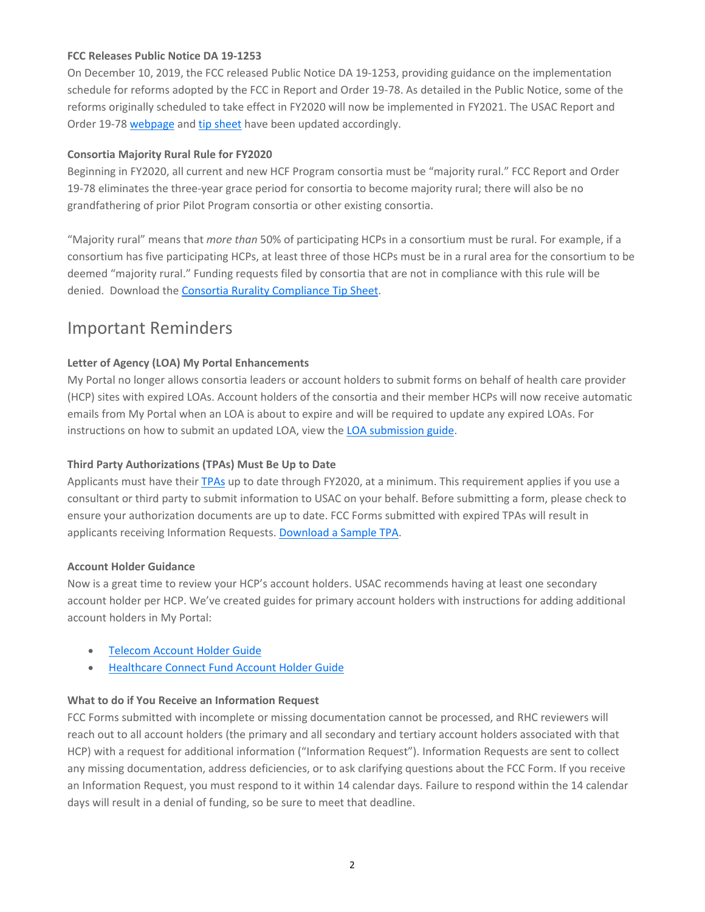#### **FCC Releases Public Notice DA 19‐1253**

On December 10, 2019, the FCC released Public Notice DA 19-1253, providing guidance on the implementation schedule for reforms adopted by the FCC in Report and Order 19‐78. As detailed in the Public Notice, some of the reforms originally scheduled to take effect in FY2020 will now be implemented in FY2021. The USAC Report and Order 19-78 webpage and tip sheet have been updated accordingly.

### **Consortia Majority Rural Rule for FY2020**

Beginning in FY2020, all current and new HCF Program consortia must be "majority rural." FCC Report and Order 19‐78 eliminates the three‐year grace period for consortia to become majority rural; there will also be no grandfathering of prior Pilot Program consortia or other existing consortia.

"Majority rural" means that *more than* 50% of participating HCPs in a consortium must be rural. For example, if a consortium has five participating HCPs, at least three of those HCPs must be in a rural area for the consortium to be deemed "majority rural." Funding requests filed by consortia that are not in compliance with this rule will be denied. Download the Consortia Rurality Compliance Tip Sheet.

### Important Reminders

### **Letter of Agency (LOA) My Portal Enhancements**

My Portal no longer allows consortia leaders or account holders to submit forms on behalf of health care provider (HCP) sites with expired LOAs. Account holders of the consortia and their member HCPs will now receive automatic emails from My Portal when an LOA is about to expire and will be required to update any expired LOAs. For instructions on how to submit an updated LOA, view the LOA submission guide.

### **Third Party Authorizations (TPAs) Must Be Up to Date**

Applicants must have their TPAs up to date through FY2020, at a minimum. This requirement applies if you use a consultant or third party to submit information to USAC on your behalf. Before submitting a form, please check to ensure your authorization documents are up to date. FCC Forms submitted with expired TPAs will result in applicants receiving Information Requests. Download a Sample TPA.

#### **Account Holder Guidance**

Now is a great time to review your HCP's account holders. USAC recommends having at least one secondary account holder per HCP. We've created guides for primary account holders with instructions for adding additional account holders in My Portal:

- Telecom Account Holder Guide
- **Healthcare Connect Fund Account Holder Guide**

### **What to do if You Receive an Information Request**

FCC Forms submitted with incomplete or missing documentation cannot be processed, and RHC reviewers will reach out to all account holders (the primary and all secondary and tertiary account holders associated with that HCP) with a request for additional information ("Information Request"). Information Requests are sent to collect any missing documentation, address deficiencies, or to ask clarifying questions about the FCC Form. If you receive an Information Request, you must respond to it within 14 calendar days. Failure to respond within the 14 calendar days will result in a denial of funding, so be sure to meet that deadline.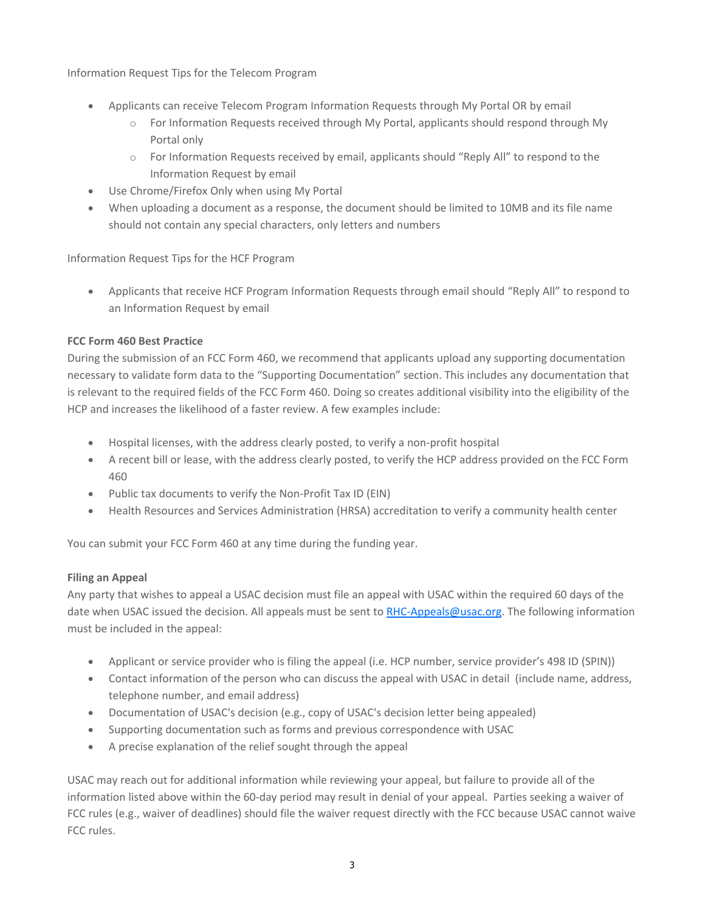Information Request Tips for the Telecom Program

- Applicants can receive Telecom Program Information Requests through My Portal OR by email
	- o For Information Requests received through My Portal, applicants should respond through My Portal only
	- o For Information Requests received by email, applicants should "Reply All" to respond to the Information Request by email
- Use Chrome/Firefox Only when using My Portal
- When uploading a document as a response, the document should be limited to 10MB and its file name should not contain any special characters, only letters and numbers

Information Request Tips for the HCF Program

 Applicants that receive HCF Program Information Requests through email should "Reply All" to respond to an Information Request by email

### **FCC Form 460 Best Practice**

During the submission of an FCC Form 460, we recommend that applicants upload any supporting documentation necessary to validate form data to the "Supporting Documentation" section. This includes any documentation that is relevant to the required fields of the FCC Form 460. Doing so creates additional visibility into the eligibility of the HCP and increases the likelihood of a faster review. A few examples include:

- Hospital licenses, with the address clearly posted, to verify a non-profit hospital
- A recent bill or lease, with the address clearly posted, to verify the HCP address provided on the FCC Form 460
- Public tax documents to verify the Non-Profit Tax ID (EIN)
- Health Resources and Services Administration (HRSA) accreditation to verify a community health center

You can submit your FCC Form 460 at any time during the funding year.

### **Filing an Appeal**

Any party that wishes to appeal a USAC decision must file an appeal with USAC within the required 60 days of the date when USAC issued the decision. All appeals must be sent to RHC-Appeals@usac.org. The following information must be included in the appeal:

- Applicant or service provider who is filing the appeal (i.e. HCP number, service provider's 498 ID (SPIN))
- Contact information of the person who can discuss the appeal with USAC in detail (include name, address, telephone number, and email address)
- Documentation of USAC's decision (e.g., copy of USAC's decision letter being appealed)
- Supporting documentation such as forms and previous correspondence with USAC
- A precise explanation of the relief sought through the appeal

USAC may reach out for additional information while reviewing your appeal, but failure to provide all of the information listed above within the 60-day period may result in denial of your appeal. Parties seeking a waiver of FCC rules (e.g., waiver of deadlines) should file the waiver request directly with the FCC because USAC cannot waive FCC rules.